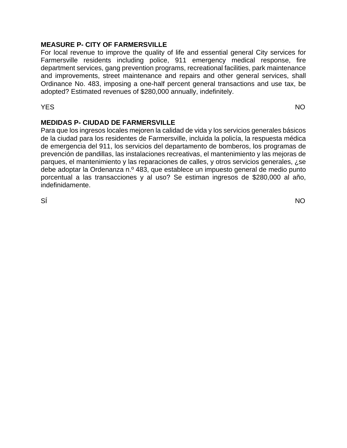# **MEASURE P- CITY OF FARMERSVILLE**

For local revenue to improve the quality of life and essential general City services for Farmersville residents including police, 911 emergency medical response, fire department services, gang prevention programs, recreational facilities, park maintenance and improvements, street maintenance and repairs and other general services, shall Ordinance No. 483, imposing a one-half percent general transactions and use tax, be adopted? Estimated revenues of \$280,000 annually, indefinitely.

YES NO

# **MEDIDAS P- CIUDAD DE FARMERSVILLE**

Para que los ingresos locales mejoren la calidad de vida y los servicios generales básicos de la ciudad para los residentes de Farmersville, incluida la policía, la respuesta médica de emergencia del 911, los servicios del departamento de bomberos, los programas de prevención de pandillas, las instalaciones recreativas, el mantenimiento y las mejoras de parques, el mantenimiento y las reparaciones de calles, y otros servicios generales, ¿se debe adoptar la Ordenanza n.º 483, que establece un impuesto general de medio punto porcentual a las transacciones y al uso? Se estiman ingresos de \$280,000 al año, indefinidamente.

SÍ NOTES EN ENTREGADO EN EL ENTREGADO EN EL ENTREGADO EN EL ENTREGADO EN EL ENTREGADO EN EL ENTREGADO EN EL EN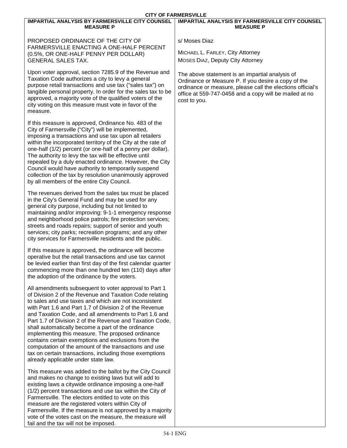| <b>CITY OF FARMERSVILLE</b>                                                                                                                                                                                                                                                                                                                                                                                                                                                                                                                                                                                                                                                            |                                                                                                                                                                                                                                                |  |  |  |  |  |  |  |
|----------------------------------------------------------------------------------------------------------------------------------------------------------------------------------------------------------------------------------------------------------------------------------------------------------------------------------------------------------------------------------------------------------------------------------------------------------------------------------------------------------------------------------------------------------------------------------------------------------------------------------------------------------------------------------------|------------------------------------------------------------------------------------------------------------------------------------------------------------------------------------------------------------------------------------------------|--|--|--|--|--|--|--|
| <b>IMPARTIAL ANALYSIS BY FARMERSVILLE CITY COUNSEL</b><br><b>MEASURE P</b>                                                                                                                                                                                                                                                                                                                                                                                                                                                                                                                                                                                                             | <b>IMPARTIAL ANALYSIS BY FARMERSVILLE CITY COUNSEL</b><br><b>MEASURE P</b>                                                                                                                                                                     |  |  |  |  |  |  |  |
| PROPOSED ORDINANCE OF THE CITY OF<br>FARMERSVILLE ENACTING A ONE-HALF PERCENT<br>(0.5%, OR ONE-HALF PENNY PER DOLLAR)<br><b>GENERAL SALES TAX.</b>                                                                                                                                                                                                                                                                                                                                                                                                                                                                                                                                     | s/ Moses Diaz<br>MICHAEL L. FARLEY, City Attorney<br>MOSES DIAZ, Deputy City Attorney                                                                                                                                                          |  |  |  |  |  |  |  |
| Upon voter approval, section 7285.9 of the Revenue and<br>Taxation Code authorizes a city to levy a general<br>purpose retail transactions and use tax ("sales tax") on<br>tangible personal property. In order for the sales tax to be<br>approved, a majority vote of the qualified voters of the<br>city voting on this measure must vote in favor of the<br>measure.                                                                                                                                                                                                                                                                                                               | The above statement is an impartial analysis of<br>Ordinance or Measure P. If you desire a copy of the<br>ordinance or measure, please call the elections official's<br>office at 559-747-0458 and a copy will be mailed at no<br>cost to you. |  |  |  |  |  |  |  |
| If this measure is approved, Ordinance No. 483 of the<br>City of Farmersville ("City") will be implemented,<br>imposing a transactions and use tax upon all retailers<br>within the incorporated territory of the City at the rate of<br>one-half (1/2) percent (or one-half of a penny per dollar).<br>The authority to levy the tax will be effective until<br>repealed by a duly enacted ordinance. However, the City<br>Council would have authority to temporarily suspend<br>collection of the tax by resolution unanimously approved<br>by all members of the entire City Council.                                                                                              |                                                                                                                                                                                                                                                |  |  |  |  |  |  |  |
| The revenues derived from the sales tax must be placed<br>in the City's General Fund and may be used for any<br>general city purpose, including but not limited to<br>maintaining and/or improving: 9-1-1 emergency response<br>and neighborhood police patrols; fire protection services;<br>streets and roads repairs; support of senior and youth<br>services; city parks; recreation programs; and any other<br>city services for Farmersville residents and the public.                                                                                                                                                                                                           |                                                                                                                                                                                                                                                |  |  |  |  |  |  |  |
| If this measure is approved, the ordinance will become<br>operative but the retail transactions and use tax cannot<br>be levied earlier than first day of the first calendar quarter<br>commencing more than one hundred ten (110) days after<br>the adoption of the ordinance by the voters.                                                                                                                                                                                                                                                                                                                                                                                          |                                                                                                                                                                                                                                                |  |  |  |  |  |  |  |
| All amendments subsequent to voter approval to Part 1<br>of Division 2 of the Revenue and Taxation Code relating<br>to sales and use taxes and which are not inconsistent<br>with Part 1.6 and Part 1.7 of Division 2 of the Revenue<br>and Taxation Code, and all amendments to Part 1.6 and<br>Part 1.7 of Division 2 of the Revenue and Taxation Code,<br>shall automatically become a part of the ordinance<br>implementing this measure. The proposed ordinance<br>contains certain exemptions and exclusions from the<br>computation of the amount of the transactions and use<br>tax on certain transactions, including those exemptions<br>already applicable under state law. |                                                                                                                                                                                                                                                |  |  |  |  |  |  |  |
| This measure was added to the ballot by the City Council<br>and makes no change to existing laws but will add to<br>existing laws a citywide ordinance imposing a one-half<br>(1/2) percent transactions and use tax within the City of<br>Farmersville. The electors entitled to vote on this<br>measure are the registered voters within City of<br>Farmersville. If the measure is not approved by a majority<br>vote of the votes cast on the measure, the measure will<br>fail and the tax will not be imposed.                                                                                                                                                                   |                                                                                                                                                                                                                                                |  |  |  |  |  |  |  |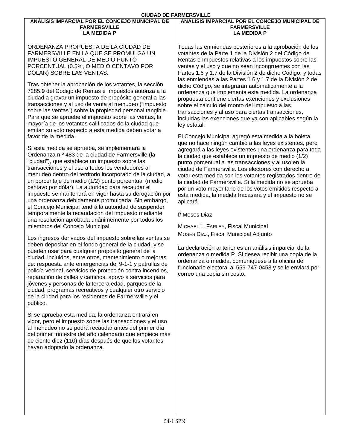#### **ANÁLISIS IMPARCIAL POR EL CONCEJO MUNICIPAL DE FARMERSVILLE LA MEDIDA P**

ORDENANZA PROPUESTA DE LA CIUDAD DE FARMERSVILLE EN LA QUE SE PROMULGA UN IMPUESTO GENERAL DE MEDIO PUNTO PORCENTUAL (0.5%, O MEDIO CENTAVO POR DÓLAR) SOBRE LAS VENTAS.

Tras obtener la aprobación de los votantes, la sección 7285.9 del Código de Rentas e Impuestos autoriza a la ciudad a gravar un impuesto de propósito general a las transacciones y al uso de venta al menudeo ("impuesto sobre las ventas") sobre la propiedad personal tangible. Para que se apruebe el impuesto sobre las ventas, la mayoría de los votantes calificados de la ciudad que emitan su voto respecto a esta medida deben votar a favor de la medida.

Si esta medida se aprueba, se implementará la Ordenanza n.º 483 de la ciudad de Farmersville (la "ciudad"), que establece un impuesto sobre las transacciones y el uso a todos los vendedores al menudeo dentro del territorio incorporado de la ciudad, a un porcentaje de medio (1/2) punto porcentual (medio centavo por dólar). La autoridad para recaudar el impuesto se mantendrá en vigor hasta su derogación por una ordenanza debidamente promulgada. Sin embargo, el Concejo Municipal tendrá la autoridad de suspender temporalmente la recaudación del impuesto mediante una resolución aprobada unánimemente por todos los miembros del Concejo Municipal.

Los ingresos derivados del impuesto sobre las ventas se deben depositar en el fondo general de la ciudad, y se pueden usar para cualquier propósito general de la ciudad, incluidos, entre otros, mantenimiento o mejoras de: respuesta ante emergencias del 9-1-1 y patrullas de policía vecinal, servicios de protección contra incendios, reparación de calles y caminos, apoyo a servicios para jóvenes y personas de la tercera edad, parques de la ciudad, programas recreativos y cualquier otro servicio de la ciudad para los residentes de Farmersville y el público.

Si se aprueba esta medida, la ordenanza entrará en vigor, pero el impuesto sobre las transacciones y el uso al menudeo no se podrá recaudar antes del primer día del primer trimestre del año calendario que empiece más de ciento diez (110) días después de que los votantes hayan adoptado la ordenanza.

### **ANÁLISIS IMPARCIAL POR EL CONCEJO MUNICIPAL DE FARMERSVILLE LA MEDIDA P**

Todas las enmiendas posteriores a la aprobación de los votantes de la Parte 1 de la División 2 del Código de Rentas e Impuestos relativas a los impuestos sobre las ventas y el uso y que no sean incongruentes con las Partes 1.6 y 1.7 de la División 2 de dicho Código, y todas las enmiendas a las Partes 1.6 y 1.7 de la División 2 de dicho Código, se integrarán automáticamente a la ordenanza que implementa esta medida. La ordenanza propuesta contiene ciertas exenciones y exclusiones sobre el cálculo del monto del impuesto a las transacciones y al uso para ciertas transacciones, incluidas las exenciones que ya son aplicables según la ley estatal.

El Concejo Municipal agregó esta medida a la boleta, que no hace ningún cambió a las leyes existentes, pero agregará a las leyes existentes una ordenanza para toda la ciudad que establece un impuesto de medio (1/2) punto porcentual a las transacciones y al uso en la ciudad de Farmersville. Los electores con derecho a votar esta medida son los votantes registrados dentro de la ciudad de Farmersville. Si la medida no se aprueba por un voto mayoritario de los votos emitidos respecto a esta medida, la medida fracasará y el impuesto no se aplicará.

f/ Moses Diaz

MICHAEL L. FARLEY, Fiscal Municipal MOSES DIAZ, Fiscal Municipal Adjunto

La declaración anterior es un análisis imparcial de la ordenanza o medida P. Si desea recibir una copia de la ordenanza o medida, comuníquese a la oficina del funcionario electoral al 559-747-0458 y se le enviará por correo una copia sin costo.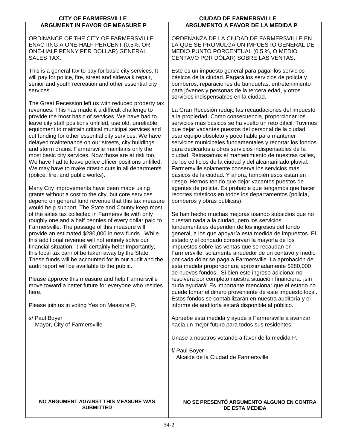| <b>CITY OF FARMERSVILLE</b>                                                                                                                                                                                                                                                                                                                                                                                                                                                                                                                                                                                                                                                                                                                                                        | <b>CIUDAD DE FARMERSVILLE</b>                                                                                                                                                                                                                                                                                                                                                                                                                                                                                                                                                                                                                                                                                                                                                                                                      |
|------------------------------------------------------------------------------------------------------------------------------------------------------------------------------------------------------------------------------------------------------------------------------------------------------------------------------------------------------------------------------------------------------------------------------------------------------------------------------------------------------------------------------------------------------------------------------------------------------------------------------------------------------------------------------------------------------------------------------------------------------------------------------------|------------------------------------------------------------------------------------------------------------------------------------------------------------------------------------------------------------------------------------------------------------------------------------------------------------------------------------------------------------------------------------------------------------------------------------------------------------------------------------------------------------------------------------------------------------------------------------------------------------------------------------------------------------------------------------------------------------------------------------------------------------------------------------------------------------------------------------|
| <b>ARGUMENT IN FAVOR OF MEASURE P</b>                                                                                                                                                                                                                                                                                                                                                                                                                                                                                                                                                                                                                                                                                                                                              | <b>ARGUMENTO A FAVOR DE LA MEDIDA P</b>                                                                                                                                                                                                                                                                                                                                                                                                                                                                                                                                                                                                                                                                                                                                                                                            |
| ORDINANCE OF THE CITY OF FARMERSVILLE<br>ENACTING A ONE-HALF PERCENT (0.5%, OR<br>ONE-HALF PENNY PER DOLLAR) GENERAL<br><b>SALES TAX.</b>                                                                                                                                                                                                                                                                                                                                                                                                                                                                                                                                                                                                                                          | ORDENANZA DE LA CIUDAD DE FARMERSVILLE EN<br>LA QUE SE PROMULGA UN IMPUESTO GENERAL DE<br>MEDIO PUNTO PORCENTUAL (0.5 %, O MEDIO<br>CENTAVO POR DÓLAR) SOBRE LAS VENTAS.                                                                                                                                                                                                                                                                                                                                                                                                                                                                                                                                                                                                                                                           |
| This is a general tax to pay for basic city services. It<br>will pay for police, fire, street and sidewalk repair,<br>senior and youth recreation and other essential city<br>services.                                                                                                                                                                                                                                                                                                                                                                                                                                                                                                                                                                                            | Este es un impuesto general para pagar los servicios<br>básicos de la ciudad. Pagará los servicios de policía y<br>bomberos, reparaciones de banquetas, entretenimiento<br>para jóvenes y personas de la tercera edad, y otros<br>servicios indispensables en la ciudad.                                                                                                                                                                                                                                                                                                                                                                                                                                                                                                                                                           |
| The Great Recession left us with reduced property tax<br>revenues. This has made it a difficult challenge to<br>provide the most basic of services. We have had to<br>leave city staff positions unfilled, use old, unreliable<br>equipment to maintain critical municipal services and<br>cut funding for other essential city services. We have<br>delayed maintenance on our streets, city buildings<br>and storm drains. Farmersville maintains only the<br>most basic city services. Now those are at risk too.<br>We have had to leave police officer positions unfilled.<br>We may have to make drastic cuts in all departments<br>(police, fire, and public works).<br>Many City improvements have been made using<br>grants without a cost to the city, but core services | La Gran Recesión redujo las recaudaciones del impuesto<br>a la propiedad. Como consecuencia, proporcionar los<br>servicios más básicos se ha vuelto un reto difícil. Tuvimos<br>que dejar vacantes puestos del personal de la ciudad,<br>usar equipo obsoleto y poco fiable para mantener<br>servicios municipales fundamentales y recortar los fondos<br>para dedicarlos a otros servicios indispensables de la<br>ciudad. Retrasamos el mantenimiento de nuestras calles,<br>de los edificios de la ciudad y del alcantarillado pluvial.<br>Farmersville solamente conserva los servicios más<br>básicos de la ciudad. Y ahora, también esos están en<br>riesgo. Hemos tenido que dejar vacantes puestos de<br>agentes de policía. Es probable que tengamos que hacer<br>recortes drásticos en todos los departamentos (policía, |
| depend on general fund revenue that this tax measure<br>would help support. The State and County keep most<br>of the sales tax collected in Farmersville with only<br>roughly one and a half pennies of every dollar paid to<br>Farmersville. The passage of this measure will<br>provide an estimated \$280,000 in new funds. While<br>this additional revenue will not entirely solve our<br>financial situation, it will certainly help! Importantly,<br>this local tax cannot be taken away by the State.<br>These funds will be accounted for in our audit and the<br>audit report will be available to the public.<br>Please approve this measure and help Farmersville<br>move toward a better future for everyone who resides<br>here.                                     | bomberos y obras públicas).<br>Se han hecho muchas mejoras usando subsidios que no<br>cuestan nada a la ciudad, pero los servicios<br>fundamentales dependen de los ingresos del fondo<br>general, a los que apoyaría esta medida de impuestos. El<br>estado y el condado conservan la mayoría de los<br>impuestos sobre las ventas que se recaudan en<br>Farmersville; solamente alrededor de un centavo y medio<br>por cada dólar se paga a Farmersville. La aprobación de<br>esta medida proporcionará aproximadamente \$280,000<br>de nuevos fondos. Si bien este ingreso adicional no<br>resolverá por completo nuestra situación financiera, ¡sin<br>duda ayudará! Es importante mencionar que el estado no<br>puede tomar el dinero proveniente de este impuesto local.                                                     |
| Please join us in voting Yes on Measure P.                                                                                                                                                                                                                                                                                                                                                                                                                                                                                                                                                                                                                                                                                                                                         | Estos fondos se contabilizarán en nuestra auditoría y el<br>informe de auditoría estará disponible al público.                                                                                                                                                                                                                                                                                                                                                                                                                                                                                                                                                                                                                                                                                                                     |
| s/ Paul Boyer<br>Mayor, City of Farmersville                                                                                                                                                                                                                                                                                                                                                                                                                                                                                                                                                                                                                                                                                                                                       | Apruebe esta medida y ayude a Farmersville a avanzar<br>hacia un mejor futuro para todos sus residentes.                                                                                                                                                                                                                                                                                                                                                                                                                                                                                                                                                                                                                                                                                                                           |
|                                                                                                                                                                                                                                                                                                                                                                                                                                                                                                                                                                                                                                                                                                                                                                                    | Únase a nosotros votando a favor de la medida P.                                                                                                                                                                                                                                                                                                                                                                                                                                                                                                                                                                                                                                                                                                                                                                                   |
|                                                                                                                                                                                                                                                                                                                                                                                                                                                                                                                                                                                                                                                                                                                                                                                    | f/ Paul Boyer<br>Alcalde de la Ciudad de Farmersville                                                                                                                                                                                                                                                                                                                                                                                                                                                                                                                                                                                                                                                                                                                                                                              |
| NO ARGUMENT AGAINST THIS MEASURE WAS<br><b>SUBMITTED</b>                                                                                                                                                                                                                                                                                                                                                                                                                                                                                                                                                                                                                                                                                                                           | NO SE PRESENTÓ ARGUMENTO ALGUNO EN CONTRA<br><b>DE ESTA MEDIDA</b>                                                                                                                                                                                                                                                                                                                                                                                                                                                                                                                                                                                                                                                                                                                                                                 |